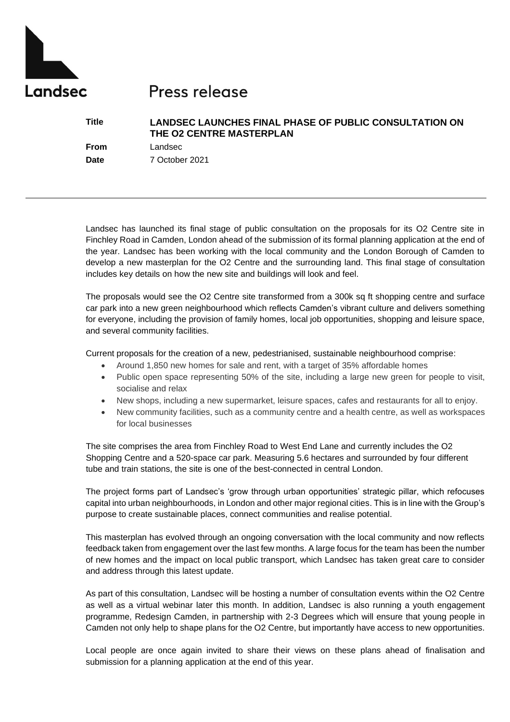

# Press release

## **Title LANDSEC LAUNCHES FINAL PHASE OF PUBLIC CONSULTATION ON THE O2 CENTRE MASTERPLAN**

**From** Landsec

**Date** 7 October 2021

Landsec has launched its final stage of public consultation on the proposals for its O2 Centre site in Finchley Road in Camden, London ahead of the submission of its formal planning application at the end of the year. Landsec has been working with the local community and the London Borough of Camden to develop a new masterplan for the O2 Centre and the surrounding land. This final stage of consultation includes key details on how the new site and buildings will look and feel.

The proposals would see the O2 Centre site transformed from a 300k sq ft shopping centre and surface car park into a new green neighbourhood which reflects Camden's vibrant culture and delivers something for everyone, including the provision of family homes, local job opportunities, shopping and leisure space, and several community facilities.

Current proposals for the creation of a new, pedestrianised, sustainable neighbourhood comprise:

- Around 1,850 new homes for sale and rent, with a target of 35% affordable homes
- Public open space representing 50% of the site, including a large new green for people to visit, socialise and relax
- New shops, including a new supermarket, leisure spaces, cafes and restaurants for all to enjoy.
- New community facilities, such as a community centre and a health centre, as well as workspaces for local businesses

The site comprises the area from Finchley Road to West End Lane and currently includes the O2 Shopping Centre and a 520-space car park. Measuring 5.6 hectares and surrounded by four different tube and train stations, the site is one of the best-connected in central London.

The project forms part of Landsec's 'grow through urban opportunities' strategic pillar, which refocuses capital into urban neighbourhoods, in London and other major regional cities. This is in line with the Group's purpose to create sustainable places, connect communities and realise potential.

This masterplan has evolved through an ongoing conversation with the local community and now reflects feedback taken from engagement over the last few months. A large focus for the team has been the number of new homes and the impact on local public transport, which Landsec has taken great care to consider and address through this latest update.

As part of this consultation, Landsec will be hosting a number of consultation events within the O2 Centre as well as a virtual webinar later this month. In addition, Landsec is also running a youth engagement programme, Redesign Camden, in partnership with 2-3 Degrees which will ensure that young people in Camden not only help to shape plans for the O2 Centre, but importantly have access to new opportunities.

Local people are once again invited to share their views on these plans ahead of finalisation and submission for a planning application at the end of this year.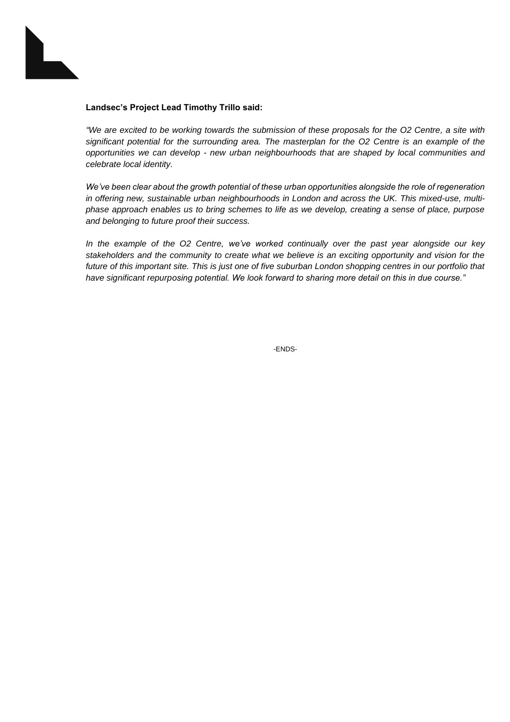

#### **Landsec's Project Lead Timothy Trillo said:**

*"We are excited to be working towards the submission of these proposals for the O2 Centre, a site with significant potential for the surrounding area. The masterplan for the O2 Centre is an example of the opportunities we can develop - new urban neighbourhoods that are shaped by local communities and celebrate local identity.* 

*We've been clear about the growth potential of these urban opportunities alongside the role of regeneration in offering new, sustainable urban neighbourhoods in London and across the UK. This mixed-use, multiphase approach enables us to bring schemes to life as we develop, creating a sense of place, purpose and belonging to future proof their success.* 

*In the example of the O2 Centre, we've worked continually over the past year alongside our key stakeholders and the community to create what we believe is an exciting opportunity and vision for the future of this important site. This is just one of five suburban London shopping centres in our portfolio that have significant repurposing potential. We look forward to sharing more detail on this in due course."*

-ENDS-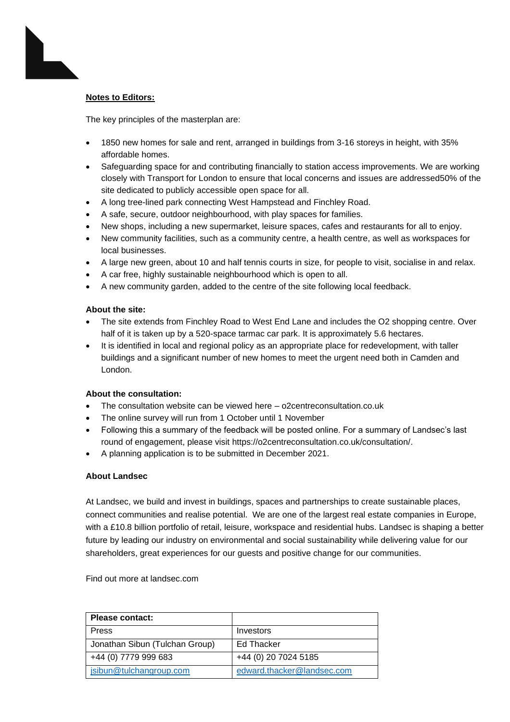### **Notes to Editors:**

The key principles of the masterplan are:

- 1850 new homes for sale and rent, arranged in buildings from 3-16 storeys in height, with 35% affordable homes.
- Safeguarding space for and contributing financially to station access improvements. We are working closely with Transport for London to ensure that local concerns and issues are addressed50% of the site dedicated to publicly accessible open space for all.
- A long tree-lined park connecting West Hampstead and Finchley Road.
- A safe, secure, outdoor neighbourhood, with play spaces for families.
- New shops, including a new supermarket, leisure spaces, cafes and restaurants for all to enjoy.
- New community facilities, such as a community centre, a health centre, as well as workspaces for local businesses.
- A large new green, about 10 and half tennis courts in size, for people to visit, socialise in and relax.
- A car free, highly sustainable neighbourhood which is open to all.
- A new community garden, added to the centre of the site following local feedback.

### **About the site:**

- The site extends from Finchley Road to West End Lane and includes the O2 shopping centre. Over half of it is taken up by a 520-space tarmac car park. It is approximately 5.6 hectares.
- It is identified in local and regional policy as an appropriate place for redevelopment, with taller buildings and a significant number of new homes to meet the urgent need both in Camden and London.

### **About the consultation:**

- The consultation website can be viewed here o2centreconsultation.co.uk
- The online survey will run from 1 October until 1 November
- Following this a summary of the feedback will be posted online. For a summary of Landsec's last round of engagement, please visit [https://o2centreconsultation.co.uk/consultation/.](https://o2centreconsultation.co.uk/consultation/)
- A planning application is to be submitted in December 2021.

### **About Landsec**

At Landsec, we build and invest in buildings, spaces and partnerships to create sustainable places, connect communities and realise potential. We are one of the largest real estate companies in Europe, with a £10.8 billion portfolio of retail, leisure, workspace and residential hubs. Landsec is shaping a better future by leading our industry on environmental and social sustainability while delivering value for our shareholders, great experiences for our guests and positive change for our communities.

Find out more at landsec.com

| Please contact:                |                            |
|--------------------------------|----------------------------|
| <b>Press</b>                   | Investors                  |
| Jonathan Sibun (Tulchan Group) | Ed Thacker                 |
| +44 (0) 7779 999 683           | +44 (0) 20 7024 5185       |
| jsibun@tulchangroup.com        | edward.thacker@landsec.com |